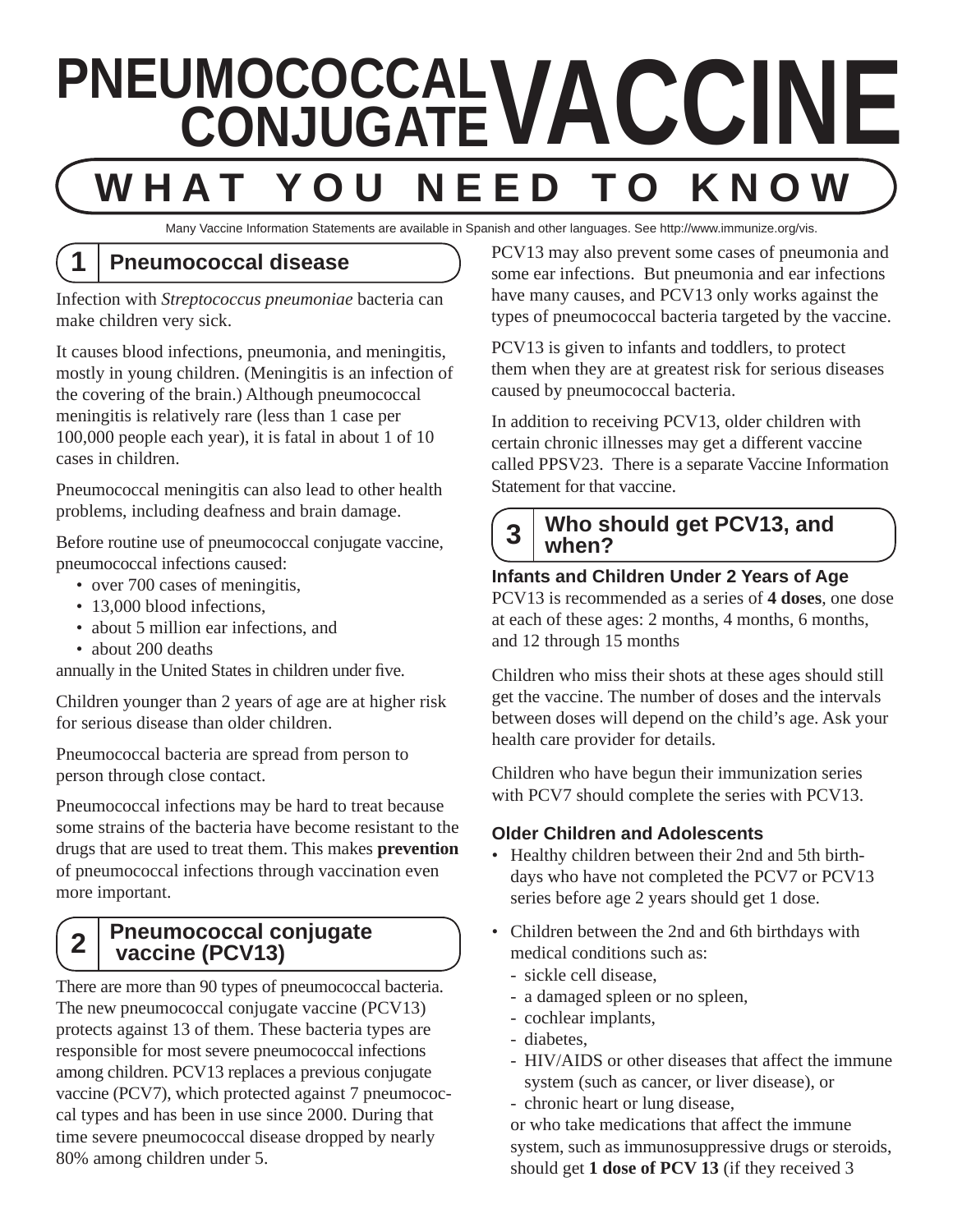# **PNEUMOCOCCAL VACCINE WHAT YO NEED TO KNOW**

Many Vaccine Information Statements are available in Spanish and other languages. See http://www.immunize.org/vis.

### **1 Pneumococcal disease**

Infection with *Streptococcus pneumoniae* bacteria can make children very sick.

It causes blood infections, pneumonia, and meningitis, mostly in young children. (Meningitis is an infection of the covering of the brain.) Although pneumococcal meningitis is relatively rare (less than 1 case per 100,000 people each year), it is fatal in about 1 of 10 cases in children.

Pneumococcal meningitis can also lead to other health problems, including deafness and brain damage.

Before routine use of pneumococcal conjugate vaccine, pneumococcal infections caused:

- over 700 cases of meningitis,
- 13,000 blood infections,
- about 5 million ear infections, and
- about 200 deaths

annually in the United States in children under five.

Children younger than 2 years of age are at higher risk for serious disease than older children.

Pneumococcal bacteria are spread from person to person through close contact.

Pneumococcal infections may be hard to treat because some strains of the bacteria have become resistant to the drugs that are used to treat them. This makes **prevention** of pneumococcal infections through vaccination even more important.

#### **2 Pneumococcal conjugate vaccine (PCV13)**

There are more than 90 types of pneumococcal bacteria. The new pneumococcal conjugate vaccine (PCV13) protects against 13 of them. These bacteria types are responsible for most severe pneumococcal infections among children. PCV13 replaces a previous conjugate vaccine (PCV7), which protected against 7 pneumococcal types and has been in use since 2000. During that time severe pneumococcal disease dropped by nearly 80% among children under 5.

PCV13 may also prevent some cases of pneumonia and some ear infections. But pneumonia and ear infections have many causes, and PCV13 only works against the types of pneumococcal bacteria targeted by the vaccine.

PCV13 is given to infants and toddlers, to protect them when they are at greatest risk for serious diseases caused by pneumococcal bacteria.

In addition to receiving PCV13, older children with certain chronic illnesses may get a different vaccine called PPSV23. There is a separate Vaccine Information Statement for that vaccine.

#### **3** Who should get PCV13, and **when?**

#### **Infants and Children Under 2 Years of Age**

PCV13 is recommended as a series of **4 doses**, one dose at each of these ages: 2 months, 4 months, 6 months, and 12 through 15 months

Children who miss their shots at these ages should still get the vaccine. The number of doses and the intervals between doses will depend on the child's age. Ask your health care provider for details.

Children who have begun their immunization series with PCV7 should complete the series with PCV13.

#### **Older Children and Adolescents**

- Healthy children between their 2nd and 5th birthdays who have not completed the PCV7 or PCV13 series before age 2 years should get 1 dose.
- Children between the 2nd and 6th birthdays with medical conditions such as:
	- sickle cell disease,
	- a damaged spleen or no spleen,
	- cochlear implants,
	- diabetes,
	- HIV/AIDS or other diseases that affect the immune system (such as cancer, or liver disease), or - chronic heart or lung disease,

or who take medications that affect the immune system, such as immunosuppressive drugs or steroids, should get **1 dose of PCV 13** (if they received 3